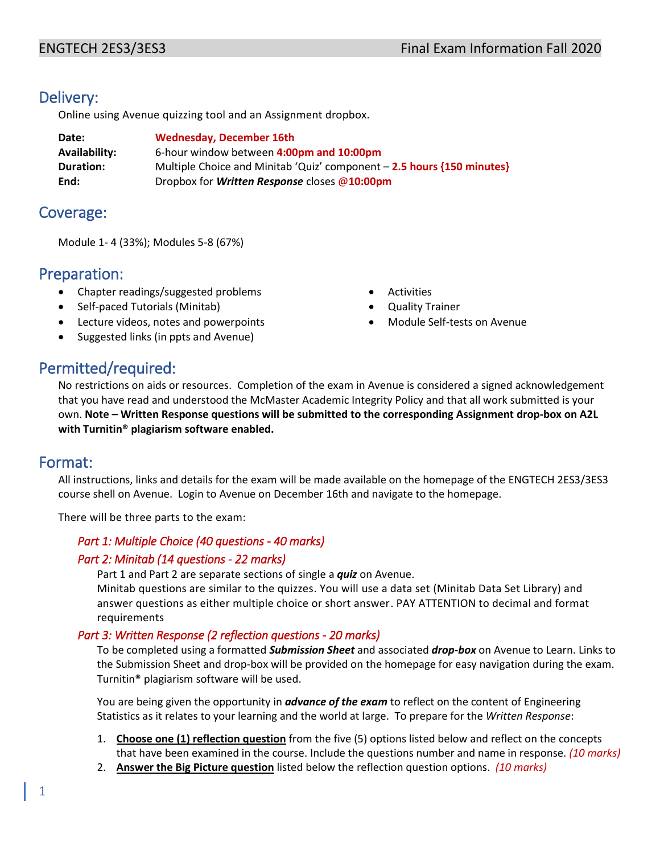# Delivery:

Online using Avenue quizzing tool and an Assignment dropbox.

| Date:            | <b>Wednesday, December 16th</b>                                        |
|------------------|------------------------------------------------------------------------|
| Availability:    | 6-hour window between 4:00pm and 10:00pm                               |
| <b>Duration:</b> | Multiple Choice and Minitab 'Quiz' component - 2.5 hours {150 minutes} |
| End:             | Dropbox for <i>Written Response</i> closes $@10:00 \text{pm}$          |

## Coverage:

Module 1- 4 (33%); Modules 5-8 (67%)

# Preparation:

- Chapter readings/suggested problems
- Self-paced Tutorials (Minitab)
- Lecture videos, notes and powerpoints
- Suggested links (in ppts and Avenue)
- **Activities**
- Quality Trainer
- Module Self-tests on Avenue

# Permitted/required:

No restrictions on aids or resources. Completion of the exam in Avenue is considered a signed acknowledgement that you have read and understood the McMaster Academic Integrity Policy and that all work submitted is your own. **Note – Written Response questions will be submitted to the corresponding Assignment drop-box on A2L with Turnitin® plagiarism software enabled.** 

# Format:

All instructions, links and details for the exam will be made available on the homepage of the ENGTECH 2ES3/3ES3 course shell on Avenue. Login to Avenue on December 16th and navigate to the homepage.

There will be three parts to the exam:

## *Part 1: Multiple Choice (40 questions - 40 marks)*

## *Part 2: Minitab (14 questions - 22 marks)*

Part 1 and Part 2 are separate sections of single a *quiz* on Avenue.

Minitab questions are similar to the quizzes. You will use a data set (Minitab Data Set Library) and answer questions as either multiple choice or short answer. PAY ATTENTION to decimal and format requirements

## *Part 3: Written Response (2 reflection questions - 20 marks)*

To be completed using a formatted *Submission Sheet* and associated *drop-box* on Avenue to Learn. Links to the Submission Sheet and drop-box will be provided on the homepage for easy navigation during the exam. Turnitin® plagiarism software will be used.

You are being given the opportunity in *advance of the exam* to reflect on the content of Engineering Statistics as it relates to your learning and the world at large. To prepare for the *Written Response*:

- 1. **Choose one (1) reflection question** from the five (5) options listed below and reflect on the concepts that have been examined in the course. Include the questions number and name in response. *(10 marks)*
- 2. **Answer the Big Picture question** listed below the reflection question options. *(10 marks)*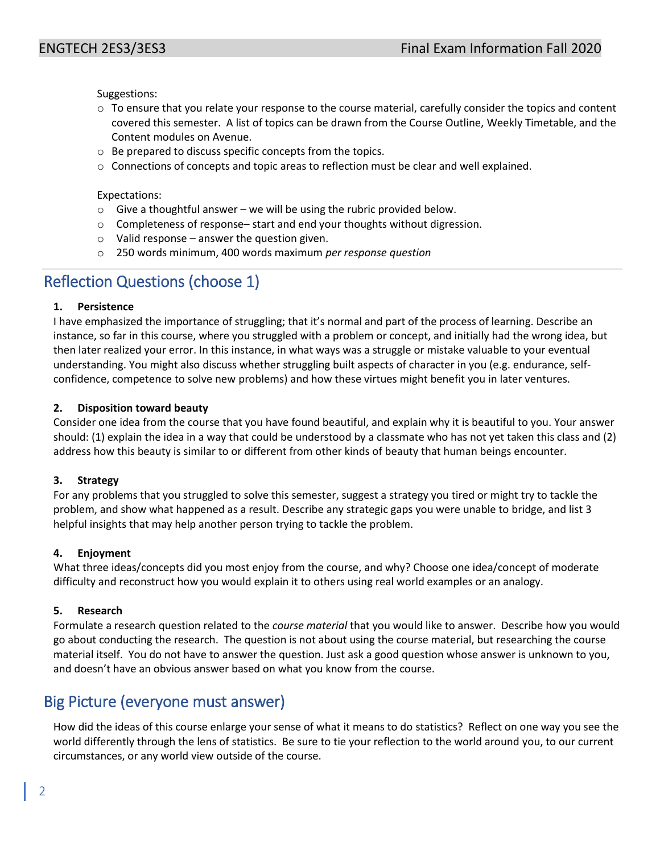Suggestions:

- $\circ$  To ensure that you relate your response to the course material, carefully consider the topics and content covered this semester. A list of topics can be drawn from the Course Outline, Weekly Timetable, and the Content modules on Avenue.
- o Be prepared to discuss specific concepts from the topics.
- o Connections of concepts and topic areas to reflection must be clear and well explained.

Expectations:

- $\circ$  Give a thoughtful answer we will be using the rubric provided below.
- o Completeness of response– start and end your thoughts without digression.
- $\circ$  Valid response answer the question given.
- o 250 words minimum, 400 words maximum *per response question*

# Reflection Questions (choose 1)

## **1. Persistence**

I have emphasized the importance of struggling; that it's normal and part of the process of learning. Describe an instance, so far in this course, where you struggled with a problem or concept, and initially had the wrong idea, but then later realized your error. In this instance, in what ways was a struggle or mistake valuable to your eventual understanding. You might also discuss whether struggling built aspects of character in you (e.g. endurance, selfconfidence, competence to solve new problems) and how these virtues might benefit you in later ventures.

## **2. Disposition toward beauty**

Consider one idea from the course that you have found beautiful, and explain why it is beautiful to you. Your answer should: (1) explain the idea in a way that could be understood by a classmate who has not yet taken this class and (2) address how this beauty is similar to or different from other kinds of beauty that human beings encounter.

## **3. Strategy**

For any problems that you struggled to solve this semester, suggest a strategy you tired or might try to tackle the problem, and show what happened as a result. Describe any strategic gaps you were unable to bridge, and list 3 helpful insights that may help another person trying to tackle the problem.

## **4. Enjoyment**

What three ideas/concepts did you most enjoy from the course, and why? Choose one idea/concept of moderate difficulty and reconstruct how you would explain it to others using real world examples or an analogy.

## **5. Research**

Formulate a research question related to the *course material* that you would like to answer. Describe how you would go about conducting the research. The question is not about using the course material, but researching the course material itself. You do not have to answer the question. Just ask a good question whose answer is unknown to you, and doesn't have an obvious answer based on what you know from the course.

# Big Picture (everyone must answer)

How did the ideas of this course enlarge your sense of what it means to do statistics? Reflect on one way you see the world differently through the lens of statistics. Be sure to tie your reflection to the world around you, to our current circumstances, or any world view outside of the course.